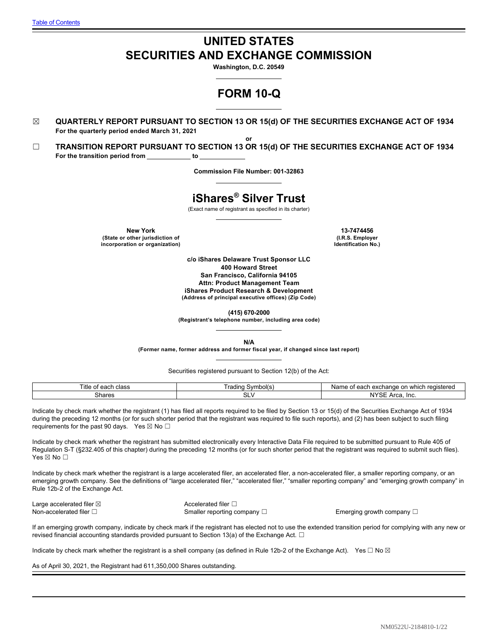# **UNITED STATES SECURITIES AND EXCHANGE COMMISSION**

**Washington, D.C. 20549**

# **FORM 10-Q**

☒ **QUARTERLY REPORT PURSUANT TO SECTION 13 OR 15(d) OF THE SECURITIES EXCHANGE ACT OF 1934 For the quarterly period ended March 31, 2021**

**or** ☐ **TRANSITION REPORT PURSUANT TO SECTION 13 OR 15(d) OF THE SECURITIES EXCHANGE ACT OF 1934** For the transition period from \_\_\_\_\_\_\_\_\_\_\_ to \_

**Commission File Number: 001-32863**

# **iShares® Silver Trust**

(Exact name of registrant as specified in its charter)

**New York 13-7474456 (State or other jurisdiction of incorporation or organization)**

**(I.R.S. Employer Identification No.)**

**c/o iShares Delaware Trust Sponsor LLC 400 Howard Street San Francisco, California 94105 Attn: Product Management Team iShares Product Research & Development (Address of principal executive offices) (Zip Code)**

**(415) 670-2000**

**(Registrant's telephone number, including area code)**

**N/A**

**(Former name, former address and former fiscal year, if changed since last report)**

Securities registered pursuant to Section 12(b) of the Act:

| ™itle<br>class<br>$\sim$ $\sim$ $\sim$<br>. ед.<br>. | Symbol(s)<br>rading | ı reaistered<br>, exchange<br>Name<br>which<br>$\sim$<br><b>AQO</b><br>$\sim$<br>. <i>.</i> .<br>. |
|------------------------------------------------------|---------------------|----------------------------------------------------------------------------------------------------|
| Shares                                               | ິ<br>י∟כ            | $\cdots$<br>Inc.<br>$\sim$<br>א ⊃∟<br>ua.                                                          |

Indicate by check mark whether the registrant (1) has filed all reports required to be filed by Section 13 or 15(d) of the Securities Exchange Act of 1934 during the preceding 12 months (or for such shorter period that the registrant was required to file such reports), and (2) has been subject to such filing requirements for the past 90 days. Yes  $\boxtimes$  No  $\square$ 

Indicate by check mark whether the registrant has submitted electronically every Interactive Data File required to be submitted pursuant to Rule 405 of Regulation S-T (§232.405 of this chapter) during the preceding 12 months (or for such shorter period that the registrant was required to submit such files). Yes ⊠ No □

Indicate by check mark whether the registrant is a large accelerated filer, an accelerated filer, a non-accelerated filer, a smaller reporting company, or an emerging growth company. See the definitions of "large accelerated filer," "accelerated filer," "smaller reporting company" and "emerging growth company" in Rule 12b-2 of the Exchange Act.

Large accelerated filer ⊠ accelerated filer □ Non-accelerated filer □ Smaller reporting company □ Emerging growth company □

If an emerging growth company, indicate by check mark if the registrant has elected not to use the extended transition period for complying with any new or revised financial accounting standards provided pursuant to Section 13(a) of the Exchange Act.  $\Box$ 

Indicate by check mark whether the registrant is a shell company (as defined in Rule 12b-2 of the Exchange Act). Yes  $\Box$  No  $\boxtimes$ 

As of April 30, 2021, the Registrant had 611,350,000 Shares outstanding.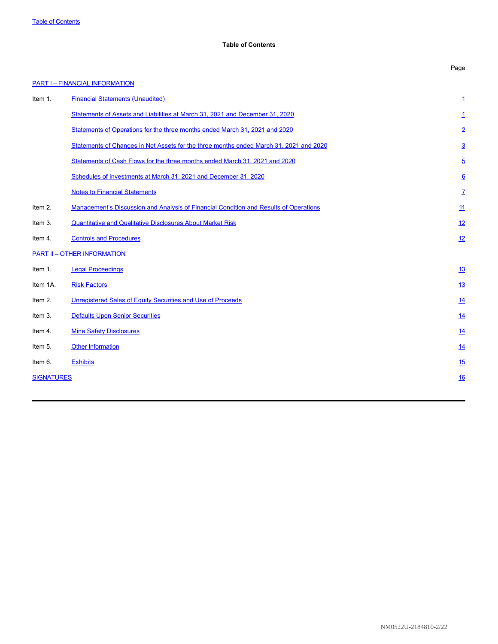# <span id="page-1-0"></span>**Table of Contents**

|                   | <b>PART I - FINANCIAL INFORMATION</b>                                                        |                 |
|-------------------|----------------------------------------------------------------------------------------------|-----------------|
| Item 1.           | <b>Financial Statements (Unaudited)</b>                                                      | <u>1</u>        |
|                   | Statements of Assets and Liabilities at March 31, 2021 and December 31, 2020                 | <u>1</u>        |
|                   | Statements of Operations for the three months ended March 31, 2021 and 2020                  | $\overline{2}$  |
|                   | Statements of Changes in Net Assets for the three months ended March 31, 2021 and 2020       | $\overline{3}$  |
|                   | Statements of Cash Flows for the three months ended March 31, 2021 and 2020                  | $\overline{5}$  |
|                   | Schedules of Investments at March 31, 2021 and December 31, 2020                             | $6\overline{6}$ |
|                   | <b>Notes to Financial Statements</b>                                                         | Z               |
| Item 2.           | <b>Management's Discussion and Analysis of Financial Condition and Results of Operations</b> | 11              |
| Item 3.           | <b>Quantitative and Qualitative Disclosures About Market Risk</b>                            | 12              |
| Item 4.           | <b>Controls and Procedures</b>                                                               | 12              |
|                   | <b>PART II - OTHER INFORMATION</b>                                                           |                 |
| Item 1.           | <b>Legal Proceedings</b>                                                                     | <u>13</u>       |
| Item 1A.          | <b>Risk Factors</b>                                                                          | 13              |
| Item 2.           | Unregistered Sales of Equity Securities and Use of Proceeds                                  | 14              |
| Item 3.           | <b>Defaults Upon Senior Securities</b>                                                       | 14              |
| Item 4.           | <b>Mine Safety Disclosures</b>                                                               | <u>14</u>       |
| Item 5.           | <b>Other Information</b>                                                                     | 14              |
| Item 6.           | <b>Exhibits</b>                                                                              | 15              |
| <b>SIGNATURES</b> |                                                                                              | 16              |
|                   |                                                                                              |                 |

Page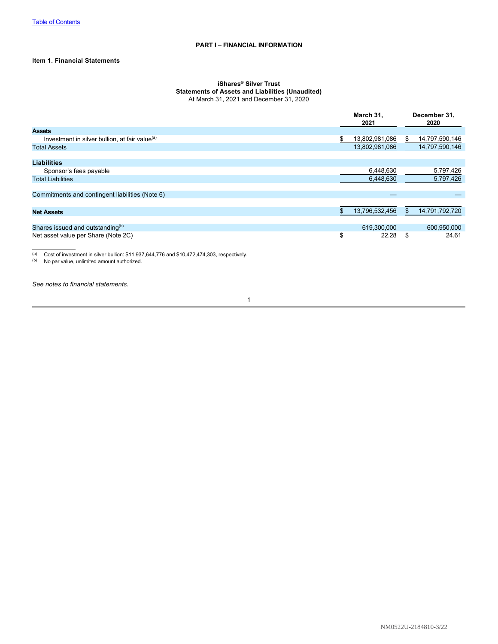## **Item 1. Financial Statements**

#### <span id="page-2-0"></span>**iShares® Silver Trust Statements of Assets and Liabilities (Unaudited)** At March 31, 2021 and December 31, 2020

|                                                            | March 31,<br>2021   |    | December 31,<br>2020 |
|------------------------------------------------------------|---------------------|----|----------------------|
| <b>Assets</b>                                              |                     |    |                      |
| Investment in silver bullion, at fair value <sup>(a)</sup> | 13,802,981,086<br>S | S. | 14,797,590,146       |
| <b>Total Assets</b>                                        | 13,802,981,086      |    | 14,797,590,146       |
|                                                            |                     |    |                      |
| <b>Liabilities</b>                                         |                     |    |                      |
| Sponsor's fees payable                                     | 6,448,630           |    | 5,797,426            |
| <b>Total Liabilities</b>                                   | 6,448,630           |    | 5,797,426            |
|                                                            |                     |    |                      |
| Commitments and contingent liabilities (Note 6)            |                     |    |                      |
|                                                            |                     |    |                      |
| <b>Net Assets</b>                                          | 13,796,532,456      |    | 14,791,792,720       |
|                                                            |                     |    |                      |
| Shares issued and outstanding <sup>(b)</sup>               | 619,300,000         |    | 600,950,000          |
| Net asset value per Share (Note 2C)                        | \$<br>22.28         | \$ | 24.61                |
|                                                            |                     |    |                      |
|                                                            |                     |    |                      |

(a) Cost of investment in silver bullion: \$11,937,644,776 and \$10,472,474,303, respectively.

(b) No par value, unlimited amount authorized.

*See notes to financial statements.*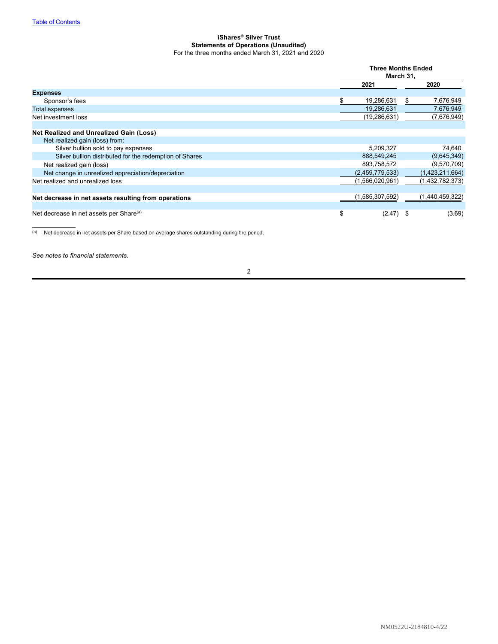## <span id="page-3-0"></span>**iShares® Silver Trust Statements of Operations (Unaudited)** For the three months ended March 31, 2021 and 2020

|                                                         | <b>Three Months Ended</b><br>March 31,<br>2021<br>2020 |                 |    |                 |
|---------------------------------------------------------|--------------------------------------------------------|-----------------|----|-----------------|
|                                                         |                                                        |                 |    |                 |
| <b>Expenses</b>                                         |                                                        |                 |    |                 |
| Sponsor's fees                                          |                                                        | 19,286,631      | S. | 7,676,949       |
| <b>Total expenses</b>                                   |                                                        | 19,286,631      |    | 7,676,949       |
| Net investment loss                                     |                                                        | (19, 286, 631)  |    | (7,676,949)     |
|                                                         |                                                        |                 |    |                 |
| Net Realized and Unrealized Gain (Loss)                 |                                                        |                 |    |                 |
| Net realized gain (loss) from:                          |                                                        |                 |    |                 |
| Silver bullion sold to pay expenses                     |                                                        | 5,209,327       |    | 74,640          |
| Silver bullion distributed for the redemption of Shares |                                                        | 888,549,245     |    | (9,645,349)     |
| Net realized gain (loss)                                |                                                        | 893,758,572     |    | (9,570,709)     |
| Net change in unrealized appreciation/depreciation      |                                                        | (2,459,779,533) |    | (1,423,211,664) |
| Net realized and unrealized loss                        |                                                        | (1,566,020,961) |    | (1,432,782,373) |
| Net decrease in net assets resulting from operations    |                                                        | (1,585,307,592) |    | (1,440,459,322) |
| Net decrease in net assets per Share <sup>(a)</sup>     | \$                                                     | $(2.47)$ \$     |    | (3.69)          |

(a) Net decrease in net assets per Share based on average shares outstanding during the period.

*See notes to financial statements.*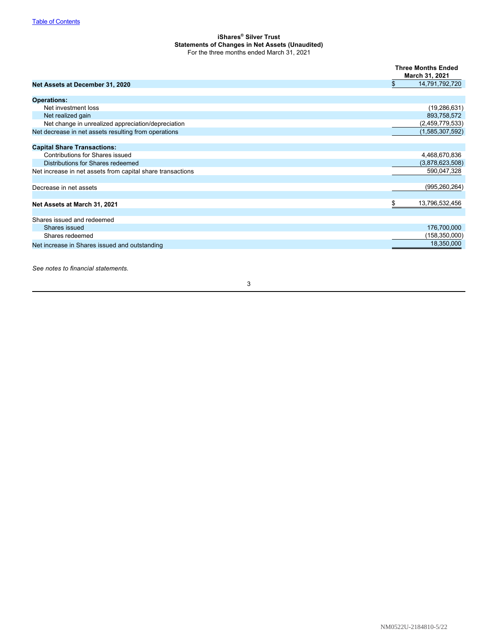## <span id="page-4-0"></span>**iShares® Silver Trust Statements of Changes in Net Assets (Unaudited)** For the three months ended March 31, 2021

|                                                            | <b>Three Months Ended</b><br>March 31, 2021 |
|------------------------------------------------------------|---------------------------------------------|
| Net Assets at December 31, 2020                            | \$<br>14,791,792,720                        |
| <b>Operations:</b>                                         |                                             |
| Net investment loss                                        | (19, 286, 631)                              |
| Net realized gain                                          | 893,758,572                                 |
| Net change in unrealized appreciation/depreciation         | (2,459,779,533)                             |
| Net decrease in net assets resulting from operations       | (1,585,307,592)                             |
| <b>Capital Share Transactions:</b>                         |                                             |
| Contributions for Shares issued                            | 4,468,670,836                               |
| Distributions for Shares redeemed                          | (3,878,623,508)                             |
| Net increase in net assets from capital share transactions | 590,047,328                                 |
| Decrease in net assets                                     | (995, 260, 264)                             |
| Net Assets at March 31, 2021                               | \$<br>13,796,532,456                        |
| Shares issued and redeemed                                 |                                             |
| Shares issued                                              | 176,700,000                                 |
| Shares redeemed                                            | (158,350,000)                               |
| Net increase in Shares issued and outstanding              | 18,350,000                                  |

*See notes to financial statements.*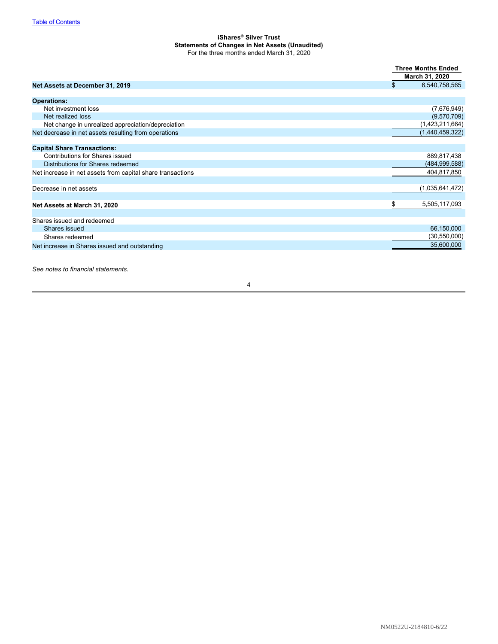## **iShares® Silver Trust Statements of Changes in Net Assets (Unaudited)** For the three months ended March 31, 2020

|                                                            | <b>Three Months Ended</b> |
|------------------------------------------------------------|---------------------------|
|                                                            | March 31, 2020            |
| Net Assets at December 31, 2019                            | \$<br>6,540,758,565       |
| <b>Operations:</b>                                         |                           |
| Net investment loss                                        | (7,676,949)               |
| Net realized loss                                          | (9,570,709)               |
| Net change in unrealized appreciation/depreciation         | (1,423,211,664)           |
| Net decrease in net assets resulting from operations       | (1,440,459,322)           |
| <b>Capital Share Transactions:</b>                         |                           |
| Contributions for Shares issued                            | 889,817,438               |
| Distributions for Shares redeemed                          | (484, 999, 588)           |
| Net increase in net assets from capital share transactions | 404,817,850               |
| Decrease in net assets                                     | (1,035,641,472)           |
| Net Assets at March 31, 2020                               | \$<br>5,505,117,093       |
| Shares issued and redeemed                                 |                           |
| Shares issued                                              | 66,150,000                |
| Shares redeemed                                            | (30, 550, 000)            |
| Net increase in Shares issued and outstanding              | 35,600,000                |

*See notes to financial statements.*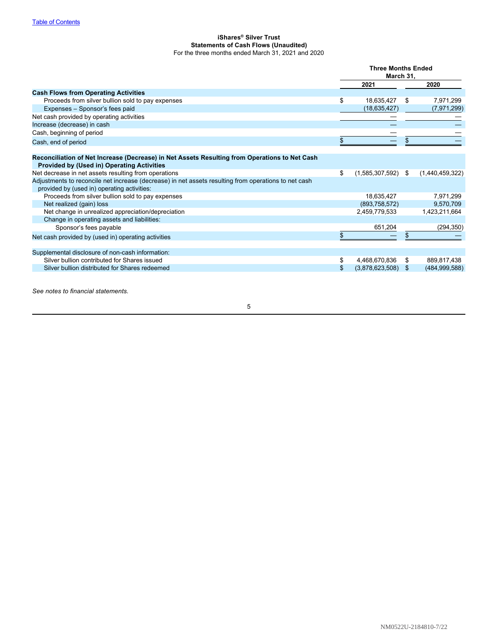## <span id="page-6-0"></span>**iShares® Silver Trust Statements of Cash Flows (Unaudited)** For the three months ended March 31, 2021 and 2020

|                                                                                                                                                    | <b>Three Months Ended</b><br>March 31, |    |                 |
|----------------------------------------------------------------------------------------------------------------------------------------------------|----------------------------------------|----|-----------------|
|                                                                                                                                                    | 2021                                   |    | 2020            |
| <b>Cash Flows from Operating Activities</b>                                                                                                        |                                        |    |                 |
| Proceeds from silver bullion sold to pay expenses                                                                                                  | \$<br>18,635,427                       | \$ | 7,971,299       |
| Expenses - Sponsor's fees paid                                                                                                                     | (18, 635, 427)                         |    | (7,971,299)     |
| Net cash provided by operating activities                                                                                                          |                                        |    |                 |
| Increase (decrease) in cash                                                                                                                        |                                        |    |                 |
| Cash, beginning of period                                                                                                                          |                                        |    |                 |
| Cash, end of period                                                                                                                                | \$                                     |    |                 |
|                                                                                                                                                    |                                        |    |                 |
| Reconciliation of Net Increase (Decrease) in Net Assets Resulting from Operations to Net Cash<br><b>Provided by (Used in) Operating Activities</b> |                                        |    |                 |
| Net decrease in net assets resulting from operations                                                                                               | \$<br>$(1,585,307,592)$ \$             |    | (1,440,459,322) |
| Adjustments to reconcile net increase (decrease) in net assets resulting from operations to net cash                                               |                                        |    |                 |
| provided by (used in) operating activities:                                                                                                        |                                        |    |                 |
| Proceeds from silver bullion sold to pay expenses                                                                                                  | 18,635,427                             |    | 7,971,299       |
| Net realized (gain) loss                                                                                                                           | (893,758,572)                          |    | 9,570,709       |
| Net change in unrealized appreciation/depreciation                                                                                                 | 2,459,779,533                          |    | 1,423,211,664   |
| Change in operating assets and liabilities:                                                                                                        |                                        |    |                 |
| Sponsor's fees payable                                                                                                                             | 651,204                                |    | (294, 350)      |
| Net cash provided by (used in) operating activities                                                                                                |                                        |    |                 |
| Supplemental disclosure of non-cash information:                                                                                                   |                                        |    |                 |
| Silver bullion contributed for Shares issued                                                                                                       | \$<br>4,468,670,836                    | S  | 889,817,438     |
| Silver bullion distributed for Shares redeemed                                                                                                     | \$<br>$(3,878,623,508)$ \$             |    | (484, 999, 588) |
|                                                                                                                                                    |                                        |    |                 |

*See notes to financial statements.*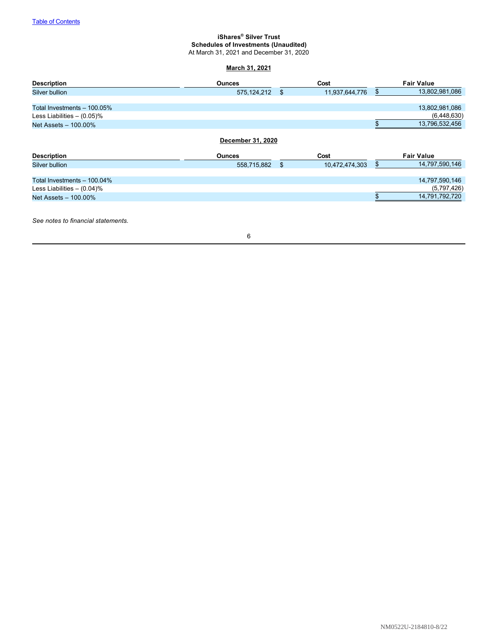# <span id="page-7-0"></span>**iShares® Silver Trust Schedules of Investments (Unaudited)**

At March 31, 2021 and December 31, 2020

# **March 31, 2021**

| <b>Description</b>            | <b>Ounces</b>     | Cost                 | <b>Fair Value</b>    |
|-------------------------------|-------------------|----------------------|----------------------|
| Silver bullion                | 575, 124, 212     | \$<br>11,937,644,776 | \$<br>13,802,981,086 |
|                               |                   |                      |                      |
| Total Investments $-100.05\%$ |                   |                      | 13,802,981,086       |
| Less Liabilities $- (0.05)\%$ |                   |                      | (6,448,630)          |
| Net Assets - 100.00%          |                   |                      | 13,796,532,456       |
|                               | December 31, 2020 |                      |                      |
| <b>Description</b>            | <b>Ounces</b>     | Cost                 | <b>Fair Value</b>    |
| Silver bullion                | 558,715,882       | \$<br>10,472,474,303 | \$<br>14,797,590,146 |
| Total Investments - 100.04%   |                   |                      | 14,797,590,146       |
| Less Liabilities $- (0.04)\%$ |                   |                      | (5,797,426)          |
| Net Assets - 100.00%          |                   |                      | 14,791,792,720       |
|                               |                   |                      |                      |

*See notes to financial statements.*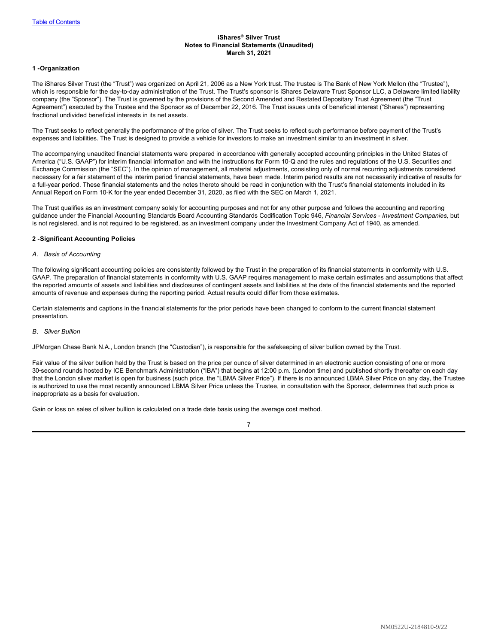## <span id="page-8-0"></span>**iShares® Silver Trust Notes to Financial Statements (Unaudited) March 31, 2021**

## **1 -Organization**

The iShares Silver Trust (the "Trust") was organized on April 21, 2006 as a New York trust. The trustee is The Bank of New York Mellon (the "Trustee"), which is responsible for the day-to-day administration of the Trust. The Trust's sponsor is iShares Delaware Trust Sponsor LLC, a Delaware limited liability company (the "Sponsor"). The Trust is governed by the provisions of the Second Amended and Restated Depositary Trust Agreement (the "Trust Agreement") executed by the Trustee and the Sponsor as of December 22, 2016. The Trust issues units of beneficial interest ("Shares") representing fractional undivided beneficial interests in its net assets.

The Trust seeks to reflect generally the performance of the price of silver. The Trust seeks to reflect such performance before payment of the Trust's expenses and liabilities. The Trust is designed to provide a vehicle for investors to make an investment similar to an investment in silver.

The accompanying unaudited financial statements were prepared in accordance with generally accepted accounting principles in the United States of America ("U.S. GAAP") for interim financial information and with the instructions for Form 10-Q and the rules and regulations of the U.S. Securities and Exchange Commission (the "SEC"). In the opinion of management, all material adjustments, consisting only of normal recurring adjustments considered necessary for a fair statement of the interim period financial statements, have been made. Interim period results are not necessarily indicative of results for a full-year period. These financial statements and the notes thereto should be read in conjunction with the Trust's financial statements included in its Annual Report on Form 10-K for the year ended December 31, 2020, as filed with the SEC on March 1, 2021.

The Trust qualifies as an investment company solely for accounting purposes and not for any other purpose and follows the accounting and reporting guidance under the Financial Accounting Standards Board Accounting Standards Codification Topic 946, *Financial Services - Investment Companies,* but is not registered, and is not required to be registered, as an investment company under the Investment Company Act of 1940, as amended.

## **2 -Significant Accounting Policies**

#### *A. Basis of Accounting*

The following significant accounting policies are consistently followed by the Trust in the preparation of its financial statements in conformity with U.S. GAAP. The preparation of financial statements in conformity with U.S. GAAP requires management to make certain estimates and assumptions that affect the reported amounts of assets and liabilities and disclosures of contingent assets and liabilities at the date of the financial statements and the reported amounts of revenue and expenses during the reporting period. Actual results could differ from those estimates.

Certain statements and captions in the financial statements for the prior periods have been changed to conform to the current financial statement presentation.

#### *B. Silver Bullion*

JPMorgan Chase Bank N.A., London branch (the "Custodian"), is responsible for the safekeeping of silver bullion owned by the Trust.

Fair value of the silver bullion held by the Trust is based on the price per ounce of silver determined in an electronic auction consisting of one or more 30‑second rounds hosted by ICE Benchmark Administration ("IBA") that begins at 12:00 p.m. (London time) and published shortly thereafter on each day that the London silver market is open for business (such price, the "LBMA Silver Price"). If there is no announced LBMA Silver Price on any day, the Trustee is authorized to use the most recently announced LBMA Silver Price unless the Trustee, in consultation with the Sponsor, determines that such price is inappropriate as a basis for evaluation.

Gain or loss on sales of silver bullion is calculated on a trade date basis using the average cost method.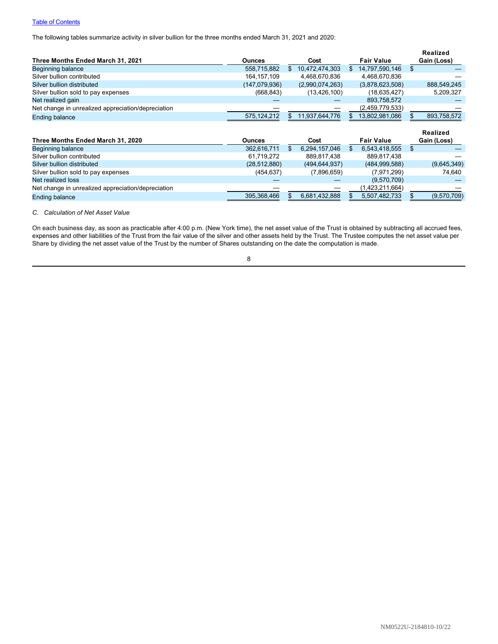# **[Table of Contents](#page-1-0)**

The following tables summarize activity in silver bullion for the three months ended March 31, 2021 and 2020:

|                                                    |                |                      |     |                   | <b>Realized</b> |
|----------------------------------------------------|----------------|----------------------|-----|-------------------|-----------------|
| Three Months Ended March 31, 2021                  | <b>Ounces</b>  | Cost                 |     | <b>Fair Value</b> | Gain (Loss)     |
| Beginning balance                                  | 558,715,882    | \$<br>10,472,474,303 | \$  | 14,797,590,146    | \$              |
| Silver bullion contributed                         | 164, 157, 109  | 4,468,670,836        |     | 4,468,670,836     |                 |
| Silver bullion distributed                         | (147,079,936)  | (2,990,074,263)      |     | (3,878,623,508)   | 888,549,245     |
| Silver bullion sold to pay expenses                | (668, 843)     | (13, 426, 100)       |     | (18, 635, 427)    | 5,209,327       |
| Net realized gain                                  |                |                      |     | 893,758,572       |                 |
| Net change in unrealized appreciation/depreciation |                |                      |     | (2,459,779,533)   |                 |
| <b>Ending balance</b>                              | 575, 124, 212  | \$<br>11,937,644,776 | \$. | 13,802,981,086    | 893,758,572     |
|                                                    |                |                      |     |                   |                 |
|                                                    |                |                      |     |                   | Realized        |
| Three Months Ended March 31, 2020                  | <b>Ounces</b>  | Cost                 |     | <b>Fair Value</b> | Gain (Loss)     |
| Beginning balance                                  | 362,616,711    | \$<br>6,294,157,046  | \$  | 6,543,418,555     | \$              |
| Silver bullion contributed                         | 61,719,272     | 889,817,438          |     | 889,817,438       |                 |
| Silver bullion distributed                         | (28, 512, 880) | (494, 644, 937)      |     | (484, 999, 588)   | (9,645,349)     |
| Silver bullion sold to pay expenses                | (454, 637)     | (7,896,659)          |     | (7,971,299)       | 74,640          |
| Net realized loss                                  |                |                      |     | (9,570,709)       |                 |
| Net change in unrealized appreciation/depreciation |                |                      |     | (1,423,211,664)   |                 |

#### *C. Calculation of Net Asset Value*

On each business day, as soon as practicable after 4:00 p.m. (New York time), the net asset value of the Trust is obtained by subtracting all accrued fees, expenses and other liabilities of the Trust from the fair value of the silver and other assets held by the Trust. The Trustee computes the net asset value per Share by dividing the net asset value of the Trust by the number of Shares outstanding on the date the computation is made.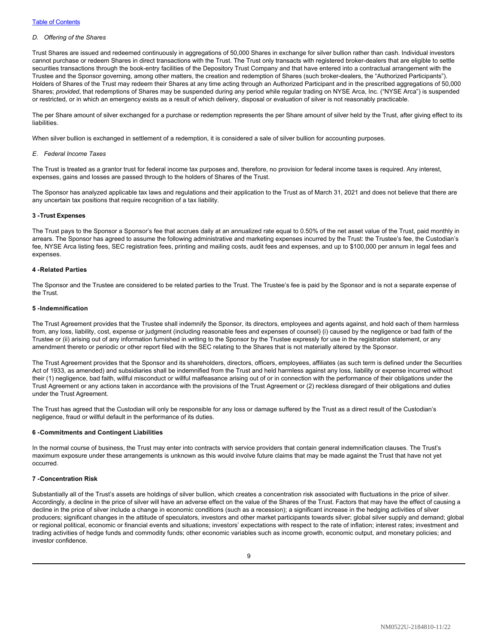#### *D. Offering of the Shares*

Trust Shares are issued and redeemed continuously in aggregations of 50,000 Shares in exchange for silver bullion rather than cash. Individual investors cannot purchase or redeem Shares in direct transactions with the Trust. The Trust only transacts with registered broker-dealers that are eligible to settle securities transactions through the book-entry facilities of the Depository Trust Company and that have entered into a contractual arrangement with the Trustee and the Sponsor governing, among other matters, the creation and redemption of Shares (such broker-dealers, the "Authorized Participants"). Holders of Shares of the Trust may redeem their Shares at any time acting through an Authorized Participant and in the prescribed aggregations of 50,000 Shares; *provided*, that redemptions of Shares may be suspended during any period while regular trading on NYSE Arca, Inc. ("NYSE Arca") is suspended or restricted, or in which an emergency exists as a result of which delivery, disposal or evaluation of silver is not reasonably practicable.

The per Share amount of silver exchanged for a purchase or redemption represents the per Share amount of silver held by the Trust, after giving effect to its **liabilities** 

When silver bullion is exchanged in settlement of a redemption, it is considered a sale of silver bullion for accounting purposes.

#### *E. Federal Income Taxes*

The Trust is treated as a grantor trust for federal income tax purposes and, therefore, no provision for federal income taxes is required. Any interest, expenses, gains and losses are passed through to the holders of Shares of the Trust.

The Sponsor has analyzed applicable tax laws and regulations and their application to the Trust as of March 31, 2021 and does not believe that there are any uncertain tax positions that require recognition of a tax liability.

#### **3 -Trust Expenses**

The Trust pays to the Sponsor a Sponsor's fee that accrues daily at an annualized rate equal to 0.50% of the net asset value of the Trust, paid monthly in arrears. The Sponsor has agreed to assume the following administrative and marketing expenses incurred by the Trust: the Trustee's fee, the Custodian's fee, NYSE Arca listing fees, SEC registration fees, printing and mailing costs, audit fees and expenses, and up to \$100,000 per annum in legal fees and expenses.

#### **4 -Related Parties**

The Sponsor and the Trustee are considered to be related parties to the Trust. The Trustee's fee is paid by the Sponsor and is not a separate expense of the Trust.

#### **5 -Indemnification**

The Trust Agreement provides that the Trustee shall indemnify the Sponsor, its directors, employees and agents against, and hold each of them harmless from, any loss, liability, cost, expense or judgment (including reasonable fees and expenses of counsel) (i) caused by the negligence or bad faith of the Trustee or (ii) arising out of any information furnished in writing to the Sponsor by the Trustee expressly for use in the registration statement, or any amendment thereto or periodic or other report filed with the SEC relating to the Shares that is not materially altered by the Sponsor.

The Trust Agreement provides that the Sponsor and its shareholders, directors, officers, employees, affiliates (as such term is defined under the Securities Act of 1933, as amended) and subsidiaries shall be indemnified from the Trust and held harmless against any loss, liability or expense incurred without their (1) negligence, bad faith, willful misconduct or willful malfeasance arising out of or in connection with the performance of their obligations under the Trust Agreement or any actions taken in accordance with the provisions of the Trust Agreement or (2) reckless disregard of their obligations and duties under the Trust Agreement.

The Trust has agreed that the Custodian will only be responsible for any loss or damage suffered by the Trust as a direct result of the Custodian's negligence, fraud or willful default in the performance of its duties.

#### **6 -Commitments and Contingent Liabilities**

In the normal course of business, the Trust may enter into contracts with service providers that contain general indemnification clauses. The Trust's maximum exposure under these arrangements is unknown as this would involve future claims that may be made against the Trust that have not yet occurred.

## **7 -Concentration Risk**

Substantially all of the Trust's assets are holdings of silver bullion, which creates a concentration risk associated with fluctuations in the price of silver. Accordingly, a decline in the price of silver will have an adverse effect on the value of the Shares of the Trust. Factors that may have the effect of causing a decline in the price of silver include a change in economic conditions (such as a recession); a significant increase in the hedging activities of silver producers; significant changes in the attitude of speculators, investors and other market participants towards silver; global silver supply and demand; global or regional political, economic or financial events and situations; investors' expectations with respect to the rate of inflation; interest rates; investment and trading activities of hedge funds and commodity funds; other economic variables such as income growth, economic output, and monetary policies; and investor confidence.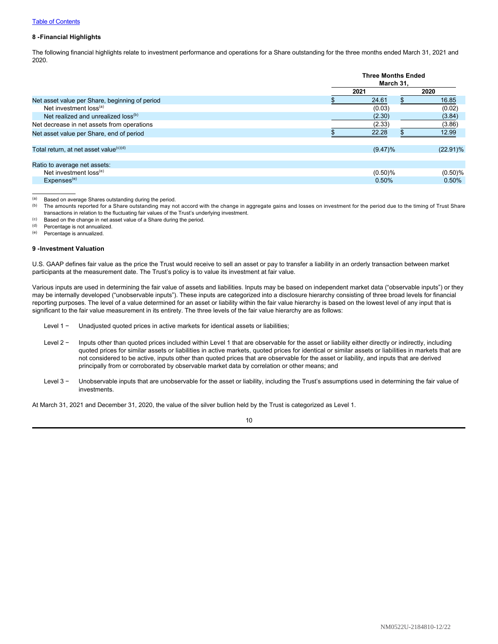## **8 -Financial Highlights**

The following financial highlights relate to investment performance and operations for a Share outstanding for the three months ended March 31, 2021 and 2020.

|                                                    |      | <b>Three Months Ended</b><br>March 31. |             |  |  |
|----------------------------------------------------|------|----------------------------------------|-------------|--|--|
|                                                    | 2021 |                                        | 2020        |  |  |
| Net asset value per Share, beginning of period     |      | 24.61<br>\$.                           | 16.85       |  |  |
| Net investment loss <sup>(a)</sup>                 |      | (0.03)                                 | (0.02)      |  |  |
| Net realized and unrealized loss <sup>(b)</sup>    |      | (2.30)                                 | (3.84)      |  |  |
| Net decrease in net assets from operations         |      | (2.33)                                 | (3.86)      |  |  |
| Net asset value per Share, end of period           |      | 22.28                                  | 12.99       |  |  |
| Total return, at net asset value <sup>(c)(d)</sup> |      | $(9.47)\%$                             | $(22.91)\%$ |  |  |
| Ratio to average net assets:                       |      |                                        |             |  |  |
| Net investment loss <sup>(e)</sup>                 |      | (0.50)%                                | (0.50)%     |  |  |
| Expenses <sup>(e)</sup>                            |      | 0.50%                                  | 0.50%       |  |  |

(a) Based on average Shares outstanding during the period.<br>(b) The amounts reported for a Share outstanding may no The amounts reported for a Share outstanding may not accord with the change in aggregate gains and losses on investment for the period due to the timing of Trust Share transactions in relation to the fluctuating fair values of the Trust's underlying investment.

 $(1)$  Based on the change in net asset value of a Share during the period.<br>(d) Percentage is not annualized

Percentage is not annualized.

(e) Percentage is annualized.

#### **9 -Investment Valuation**

U.S. GAAP defines fair value as the price the Trust would receive to sell an asset or pay to transfer a liability in an orderly transaction between market participants at the measurement date. The Trust's policy is to value its investment at fair value.

Various inputs are used in determining the fair value of assets and liabilities. Inputs may be based on independent market data ("observable inputs") or they may be internally developed ("unobservable inputs"). These inputs are categorized into a disclosure hierarchy consisting of three broad levels for financial reporting purposes. The level of a value determined for an asset or liability within the fair value hierarchy is based on the lowest level of any input that is significant to the fair value measurement in its entirety. The three levels of the fair value hierarchy are as follows:

- Level 1 − Unadjusted quoted prices in active markets for identical assets or liabilities;
- Level 2 − Inputs other than quoted prices included within Level 1 that are observable for the asset or liability either directly or indirectly, including quoted prices for similar assets or liabilities in active markets, quoted prices for identical or similar assets or liabilities in markets that are not considered to be active, inputs other than quoted prices that are observable for the asset or liability, and inputs that are derived principally from or corroborated by observable market data by correlation or other means; and
- Level 3 − Unobservable inputs that are unobservable for the asset or liability, including the Trust's assumptions used in determining the fair value of investments.

At March 31, 2021 and December 31, 2020, the value of the silver bullion held by the Trust is categorized as Level 1.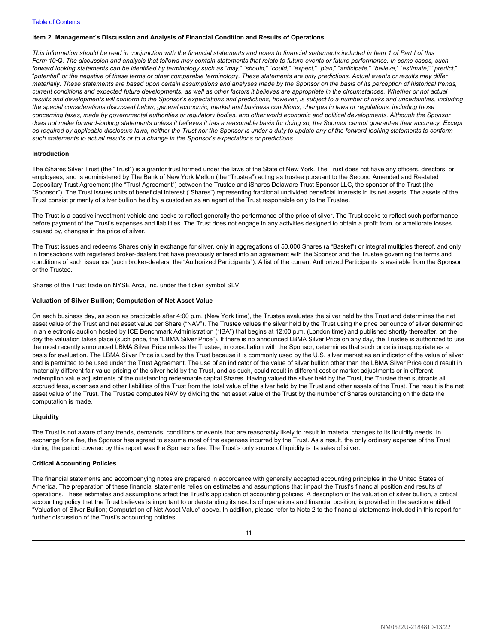#### <span id="page-12-0"></span>**Item 2. Management**'**s Discussion and Analysis of Financial Condition and Results of Operations.**

*This information should be read in conjunction with the financial statements and notes to financial statements included in Item 1 of Part I of this Form 10*‑*Q. The discussion and analysis that follows may contain statements that relate to future events or future performance. In some cases, such* forward looking statements can be identified by terminology such as "may," "should," "could," "expect," "plan," "anticipate," "believe," "estimate," "predict," "*potential*" *or the negative of these terms or other comparable terminology. These statements are only predictions. Actual events or results may differ materially. These statements are based upon certain assumptions and analyses made by the Sponsor on the basis of its perception of historical trends, current conditions and expected future developments, as well as other factors it believes are appropriate in the circumstances. Whether or not actual results and developments will conform to the Sponsor*'*s expectations and predictions, however, is subject to a number of risks and uncertainties, including the special considerations discussed below, general economic, market and business conditions, changes in laws or regulations, including those concerning taxes, made by governmental authorities or regulatory bodies, and other world economic and political developments. Although the Sponsor does not make forward-looking statements unless it believes it has a reasonable basis for doing so, the Sponsor cannot guarantee their accuracy. Except as required by applicable disclosure laws, neither the Trust nor the Sponsor is under a duty to update any of the forward-looking statements to conform such statements to actual results or to a change in the Sponsor*'*s expectations or predictions.*

#### **Introduction**

The iShares Silver Trust (the "Trust") is a grantor trust formed under the laws of the State of New York. The Trust does not have any officers, directors, or employees, and is administered by The Bank of New York Mellon (the "Trustee") acting as trustee pursuant to the Second Amended and Restated Depositary Trust Agreement (the "Trust Agreement") between the Trustee and iShares Delaware Trust Sponsor LLC, the sponsor of the Trust (the "Sponsor"). The Trust issues units of beneficial interest ("Shares") representing fractional undivided beneficial interests in its net assets. The assets of the Trust consist primarily of silver bullion held by a custodian as an agent of the Trust responsible only to the Trustee.

The Trust is a passive investment vehicle and seeks to reflect generally the performance of the price of silver. The Trust seeks to reflect such performance before payment of the Trust's expenses and liabilities. The Trust does not engage in any activities designed to obtain a profit from, or ameliorate losses caused by, changes in the price of silver.

The Trust issues and redeems Shares only in exchange for silver, only in aggregations of 50,000 Shares (a "Basket") or integral multiples thereof, and only in transactions with registered broker-dealers that have previously entered into an agreement with the Sponsor and the Trustee governing the terms and conditions of such issuance (such broker-dealers, the "Authorized Participants"). A list of the current Authorized Participants is available from the Sponsor or the Trustee.

Shares of the Trust trade on NYSE Arca, Inc. under the ticker symbol SLV.

#### **Valuation of Silver Bullion**; **Computation of Net Asset Value**

On each business day, as soon as practicable after 4:00 p.m. (New York time), the Trustee evaluates the silver held by the Trust and determines the net asset value of the Trust and net asset value per Share ("NAV"). The Trustee values the silver held by the Trust using the price per ounce of silver determined in an electronic auction hosted by ICE Benchmark Administration ("IBA") that begins at 12:00 p.m. (London time) and published shortly thereafter, on the day the valuation takes place (such price, the "LBMA Silver Price"). If there is no announced LBMA Silver Price on any day, the Trustee is authorized to use the most recently announced LBMA Silver Price unless the Trustee, in consultation with the Sponsor, determines that such price is inappropriate as a basis for evaluation. The LBMA Silver Price is used by the Trust because it is commonly used by the U.S. silver market as an indicator of the value of silver and is permitted to be used under the Trust Agreement. The use of an indicator of the value of silver bullion other than the LBMA Silver Price could result in materially different fair value pricing of the silver held by the Trust, and as such, could result in different cost or market adjustments or in different redemption value adjustments of the outstanding redeemable capital Shares. Having valued the silver held by the Trust, the Trustee then subtracts all accrued fees, expenses and other liabilities of the Trust from the total value of the silver held by the Trust and other assets of the Trust. The result is the net asset value of the Trust. The Trustee computes NAV by dividing the net asset value of the Trust by the number of Shares outstanding on the date the computation is made.

## **Liquidity**

The Trust is not aware of any trends, demands, conditions or events that are reasonably likely to result in material changes to its liquidity needs. In exchange for a fee, the Sponsor has agreed to assume most of the expenses incurred by the Trust. As a result, the only ordinary expense of the Trust during the period covered by this report was the Sponsor's fee. The Trust's only source of liquidity is its sales of silver.

#### **Critical Accounting Policies**

The financial statements and accompanying notes are prepared in accordance with generally accepted accounting principles in the United States of America. The preparation of these financial statements relies on estimates and assumptions that impact the Trust's financial position and results of operations. These estimates and assumptions affect the Trust's application of accounting policies. A description of the valuation of silver bullion, a critical accounting policy that the Trust believes is important to understanding its results of operations and financial position, is provided in the section entitled "Valuation of Silver Bullion; Computation of Net Asset Value" above. In addition, please refer to Note 2 to the financial statements included in this report for further discussion of the Trust's accounting policies.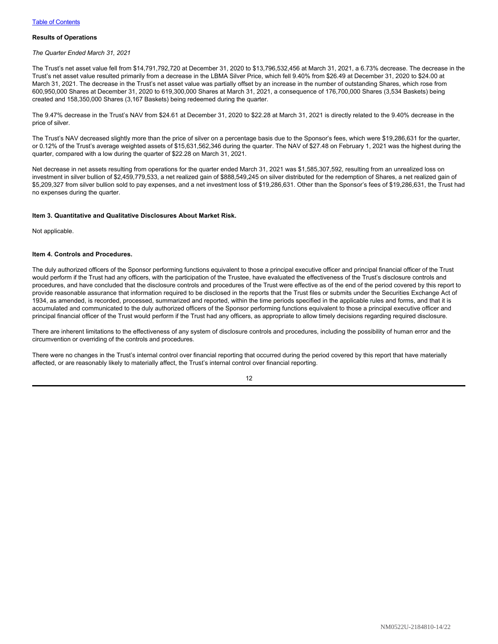## **Results of Operations**

#### *The Quarter Ended March 31, 2021*

The Trust's net asset value fell from \$14,791,792,720 at December 31, 2020 to \$13,796,532,456 at March 31, 2021, a 6.73% decrease. The decrease in the Trust's net asset value resulted primarily from a decrease in the LBMA Silver Price, which fell 9.40% from \$26.49 at December 31, 2020 to \$24.00 at March 31, 2021. The decrease in the Trust's net asset value was partially offset by an increase in the number of outstanding Shares, which rose from 600,950,000 Shares at December 31, 2020 to 619,300,000 Shares at March 31, 2021, a consequence of 176,700,000 Shares (3,534 Baskets) being created and 158,350,000 Shares (3,167 Baskets) being redeemed during the quarter.

The 9.47% decrease in the Trust's NAV from \$24.61 at December 31, 2020 to \$22.28 at March 31, 2021 is directly related to the 9.40% decrease in the price of silver.

The Trust's NAV decreased slightly more than the price of silver on a percentage basis due to the Sponsor's fees, which were \$19,286,631 for the quarter, or 0.12% of the Trust's average weighted assets of \$15,631,562,346 during the quarter. The NAV of \$27.48 on February 1, 2021 was the highest during the quarter, compared with a low during the quarter of \$22.28 on March 31, 2021.

Net decrease in net assets resulting from operations for the quarter ended March 31, 2021 was \$1,585,307,592, resulting from an unrealized loss on investment in silver bullion of \$2,459,779,533, a net realized gain of \$888,549,245 on silver distributed for the redemption of Shares, a net realized gain of \$5,209,327 from silver bullion sold to pay expenses, and a net investment loss of \$19,286,631. Other than the Sponsor's fees of \$19,286,631, the Trust had no expenses during the quarter.

## <span id="page-13-0"></span>**Item 3. Quantitative and Qualitative Disclosures About Market Risk.**

Not applicable.

#### <span id="page-13-1"></span>**Item 4. Controls and Procedures.**

The duly authorized officers of the Sponsor performing functions equivalent to those a principal executive officer and principal financial officer of the Trust would perform if the Trust had any officers, with the participation of the Trustee, have evaluated the effectiveness of the Trust's disclosure controls and procedures, and have concluded that the disclosure controls and procedures of the Trust were effective as of the end of the period covered by this report to provide reasonable assurance that information required to be disclosed in the reports that the Trust files or submits under the Securities Exchange Act of 1934, as amended, is recorded, processed, summarized and reported, within the time periods specified in the applicable rules and forms, and that it is accumulated and communicated to the duly authorized officers of the Sponsor performing functions equivalent to those a principal executive officer and principal financial officer of the Trust would perform if the Trust had any officers, as appropriate to allow timely decisions regarding required disclosure.

There are inherent limitations to the effectiveness of any system of disclosure controls and procedures, including the possibility of human error and the circumvention or overriding of the controls and procedures.

There were no changes in the Trust's internal control over financial reporting that occurred during the period covered by this report that have materially affected, or are reasonably likely to materially affect, the Trust's internal control over financial reporting.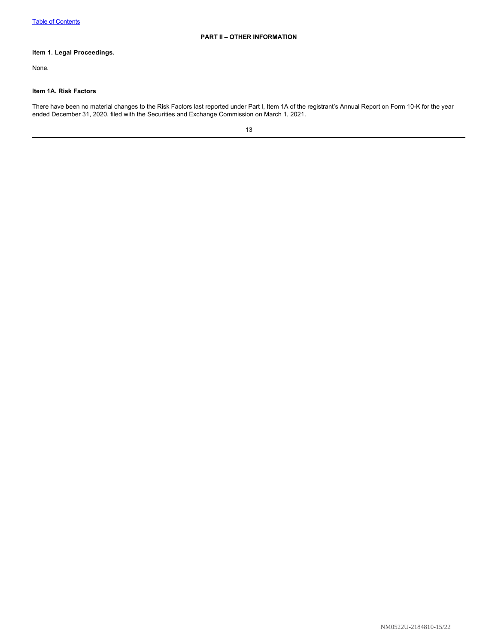## <span id="page-14-1"></span><span id="page-14-0"></span>**Item 1. Legal Proceedings.**

None.

## <span id="page-14-2"></span>**Item 1A. Risk Factors**

There have been no material changes to the Risk Factors last reported under Part I, Item 1A of the registrant's Annual Report on Form 10-K for the year ended December 31, 2020, filed with the Securities and Exchange Commission on March 1, 2021.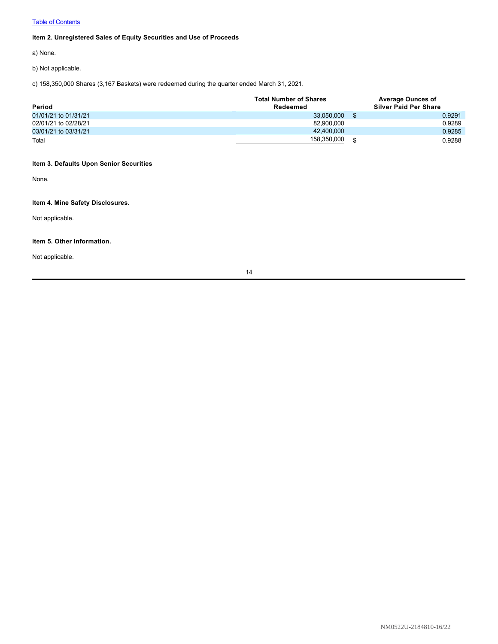# **[Table of Contents](#page-1-0)**

# <span id="page-15-0"></span>**Item 2. Unregistered Sales of Equity Securities and Use of Proceeds**

a) None.

b) Not applicable.

c) 158,350,000 Shares (3,167 Baskets) were redeemed during the quarter ended March 31, 2021.

| Period               | <b>Total Number of Shares</b><br>Redeemed | <b>Average Ounces of</b><br><b>Silver Paid Per Share</b> |        |  |
|----------------------|-------------------------------------------|----------------------------------------------------------|--------|--|
| 01/01/21 to 01/31/21 | 33.050.000                                |                                                          | 0.9291 |  |
| 02/01/21 to 02/28/21 | 82.900.000                                |                                                          | 0.9289 |  |
| 03/01/21 to 03/31/21 | 42,400,000                                |                                                          | 0.9285 |  |
| Total                | 158.350.000                               |                                                          | 0.9288 |  |

## <span id="page-15-1"></span>**Item 3. Defaults Upon Senior Securities**

None.

# <span id="page-15-2"></span>**Item 4. Mine Safety Disclosures.**

Not applicable.

## <span id="page-15-3"></span>**Item 5. Other Information.**

Not applicable.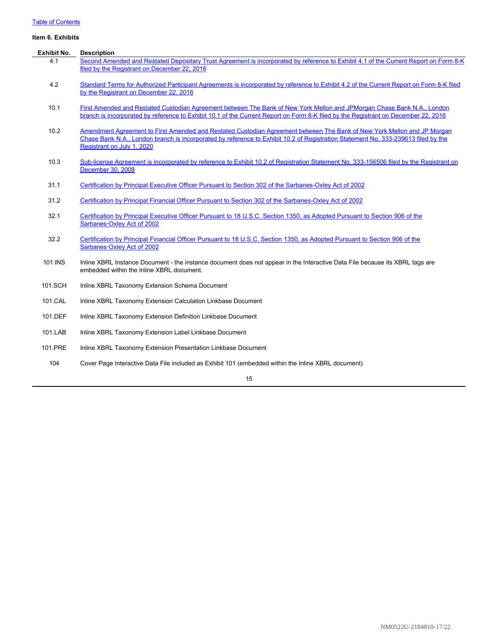# **[Table of Contents](#page-1-0)**

## <span id="page-16-0"></span>**Item 6. Exhibits**

| <b>Exhibit No.</b> | <b>Description</b>                                                                                                                                                                                                                                                                         |
|--------------------|--------------------------------------------------------------------------------------------------------------------------------------------------------------------------------------------------------------------------------------------------------------------------------------------|
| 4.1                | Second Amended and Restated Depositary Trust Agreement is incorporated by reference to Exhibit 4.1 of the Current Report on Form 8-K<br>filed by the Registrant on December 22, 2016                                                                                                       |
| 4.2                | Standard Terms for Authorized Participant Agreements is incorporated by reference to Exhibit 4.2 of the Current Report on Form 8-K filed<br>by the Registrant on December 22, 2016                                                                                                         |
| 10.1               | First Amended and Restated Custodian Agreement between The Bank of New York Mellon and JPMorgan Chase Bank N.A., London<br>branch is incorporated by reference to Exhibit 10.1 of the Current Report on Form 8-K filed by the Registrant on December 22, 2016                              |
| 10.2               | Amendment Agreement to First Amended and Restated Custodian Agreement between The Bank of New York Mellon and JP Morgan<br>Chase Bank N.A., London branch is incorporated by reference to Exhibit 10.2 of Registration Statement No. 333-239613 filed by the<br>Registrant on July 1, 2020 |
| 10.3               | Sub-license Agreement is incorporated by reference to Exhibit 10.2 of Registration Statement No. 333-156506 filed by the Registrant on<br>December 30, 2008                                                                                                                                |
| 31.1               | Certification by Principal Executive Officer Pursuant to Section 302 of the Sarbanes-Oxley Act of 2002                                                                                                                                                                                     |
| 31.2               | Certification by Principal Financial Officer Pursuant to Section 302 of the Sarbanes-Oxley Act of 2002                                                                                                                                                                                     |
| 32.1               | Certification by Principal Executive Officer Pursuant to 18 U.S.C. Section 1350, as Adopted Pursuant to Section 906 of the<br>Sarbanes-Oxley Act of 2002                                                                                                                                   |
| 32.2               | Certification by Principal Financial Officer Pursuant to 18 U.S.C. Section 1350, as Adopted Pursuant to Section 906 of the<br>Sarbanes-Oxley Act of 2002                                                                                                                                   |
| 101.INS            | Inline XBRL Instance Document - the instance document does not appear in the Interactive Data File because its XBRL tags are<br>embedded within the Inline XBRL document.                                                                                                                  |
| 101.SCH            | Inline XBRL Taxonomy Extension Schema Document                                                                                                                                                                                                                                             |
| 101.CAL            | Inline XBRL Taxonomy Extension Calculation Linkbase Document                                                                                                                                                                                                                               |
| 101.DEF            | Inline XBRL Taxonomy Extension Definition Linkbase Document                                                                                                                                                                                                                                |
| 101.LAB            | Inline XBRL Taxonomy Extension Label Linkbase Document                                                                                                                                                                                                                                     |
| 101.PRE            | Inline XBRL Taxonomy Extension Presentation Linkbase Document                                                                                                                                                                                                                              |
| 104                | Cover Page Interactive Data File included as Exhibit 101 (embedded within the Inline XBRL document)                                                                                                                                                                                        |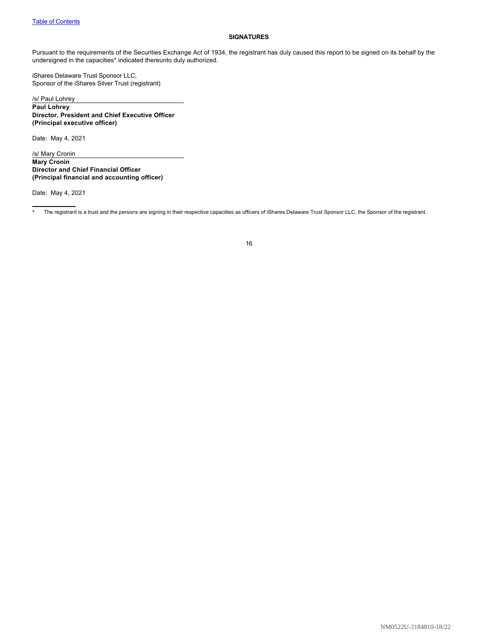#### <span id="page-17-0"></span>**SIGNATURES**

Pursuant to the requirements of the Securities Exchange Act of 1934, the registrant has duly caused this report to be signed on its behalf by the undersigned in the capacities\* indicated thereunto duly authorized.

iShares Delaware Trust Sponsor LLC, Sponsor of the iShares Silver Trust (registrant)

/s/ Paul Lohrey **Paul Lohrey Director, President and Chief Executive Officer (Principal executive officer)**

Date: May 4, 2021

/s/ Mary Cronin **Mary Cronin Director and Chief Financial Officer (Principal financial and accounting officer)**

Date: May 4, 2021

<sup>\*</sup> The registrant is a trust and the persons are signing in their respective capacities as officers of iShares Delaware Trust Sponsor LLC, the Sponsor of the registrant.

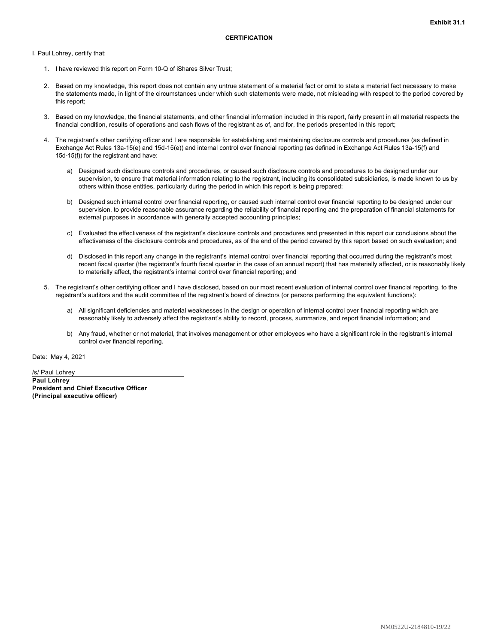<span id="page-18-0"></span>I, Paul Lohrey, certify that:

- 1. I have reviewed this report on Form 10-Q of iShares Silver Trust;
- 2. Based on my knowledge, this report does not contain any untrue statement of a material fact or omit to state a material fact necessary to make the statements made, in light of the circumstances under which such statements were made, not misleading with respect to the period covered by this report;
- 3. Based on my knowledge, the financial statements, and other financial information included in this report, fairly present in all material respects the financial condition, results of operations and cash flows of the registrant as of, and for, the periods presented in this report;
- 4. The registrant's other certifying officer and I are responsible for establishing and maintaining disclosure controls and procedures (as defined in Exchange Act Rules 13a-15(e) and 15d-15(e)) and internal control over financial reporting (as defined in Exchange Act Rules 13a-15(f) and 15d‑15(f)) for the registrant and have:
	- a) Designed such disclosure controls and procedures, or caused such disclosure controls and procedures to be designed under our supervision, to ensure that material information relating to the registrant, including its consolidated subsidiaries, is made known to us by others within those entities, particularly during the period in which this report is being prepared;
	- b) Designed such internal control over financial reporting, or caused such internal control over financial reporting to be designed under our supervision, to provide reasonable assurance regarding the reliability of financial reporting and the preparation of financial statements for external purposes in accordance with generally accepted accounting principles;
	- c) Evaluated the effectiveness of the registrant's disclosure controls and procedures and presented in this report our conclusions about the effectiveness of the disclosure controls and procedures, as of the end of the period covered by this report based on such evaluation; and
	- d) Disclosed in this report any change in the registrant's internal control over financial reporting that occurred during the registrant's most recent fiscal quarter (the registrant's fourth fiscal quarter in the case of an annual report) that has materially affected, or is reasonably likely to materially affect, the registrant's internal control over financial reporting; and
- 5. The registrant's other certifying officer and I have disclosed, based on our most recent evaluation of internal control over financial reporting, to the registrant's auditors and the audit committee of the registrant's board of directors (or persons performing the equivalent functions):
	- a) All significant deficiencies and material weaknesses in the design or operation of internal control over financial reporting which are reasonably likely to adversely affect the registrant's ability to record, process, summarize, and report financial information; and
	- b) Any fraud, whether or not material, that involves management or other employees who have a significant role in the registrant's internal control over financial reporting.

Date: May 4, 2021

/s/ Paul Lohrey **Paul Lohrey President and Chief Executive Officer (Principal executive officer)**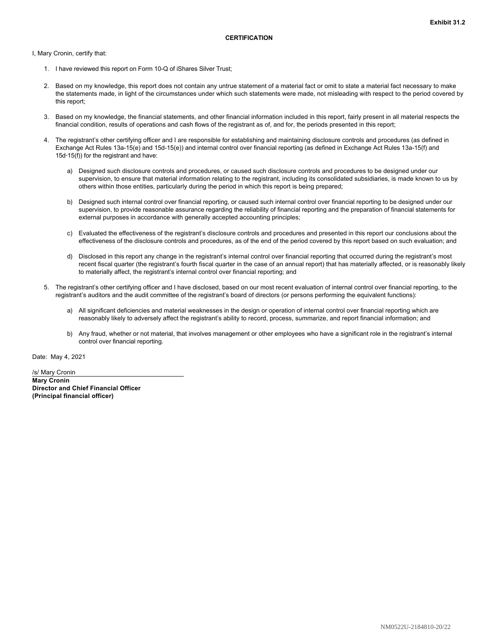<span id="page-19-0"></span>I, Mary Cronin, certify that:

- 1. I have reviewed this report on Form 10-Q of iShares Silver Trust;
- 2. Based on my knowledge, this report does not contain any untrue statement of a material fact or omit to state a material fact necessary to make the statements made, in light of the circumstances under which such statements were made, not misleading with respect to the period covered by this report;
- 3. Based on my knowledge, the financial statements, and other financial information included in this report, fairly present in all material respects the financial condition, results of operations and cash flows of the registrant as of, and for, the periods presented in this report;
- 4. The registrant's other certifying officer and I are responsible for establishing and maintaining disclosure controls and procedures (as defined in Exchange Act Rules 13a-15(e) and 15d-15(e)) and internal control over financial reporting (as defined in Exchange Act Rules 13a-15(f) and 15d‑15(f)) for the registrant and have:
	- a) Designed such disclosure controls and procedures, or caused such disclosure controls and procedures to be designed under our supervision, to ensure that material information relating to the registrant, including its consolidated subsidiaries, is made known to us by others within those entities, particularly during the period in which this report is being prepared;
	- b) Designed such internal control over financial reporting, or caused such internal control over financial reporting to be designed under our supervision, to provide reasonable assurance regarding the reliability of financial reporting and the preparation of financial statements for external purposes in accordance with generally accepted accounting principles;
	- c) Evaluated the effectiveness of the registrant's disclosure controls and procedures and presented in this report our conclusions about the effectiveness of the disclosure controls and procedures, as of the end of the period covered by this report based on such evaluation; and
	- d) Disclosed in this report any change in the registrant's internal control over financial reporting that occurred during the registrant's most recent fiscal quarter (the registrant's fourth fiscal quarter in the case of an annual report) that has materially affected, or is reasonably likely to materially affect, the registrant's internal control over financial reporting; and
- 5. The registrant's other certifying officer and I have disclosed, based on our most recent evaluation of internal control over financial reporting, to the registrant's auditors and the audit committee of the registrant's board of directors (or persons performing the equivalent functions):
	- a) All significant deficiencies and material weaknesses in the design or operation of internal control over financial reporting which are reasonably likely to adversely affect the registrant's ability to record, process, summarize, and report financial information; and
	- b) Any fraud, whether or not material, that involves management or other employees who have a significant role in the registrant's internal control over financial reporting.

Date: May 4, 2021

/s/ Mary Cronin **Mary Cronin Director and Chief Financial Officer (Principal financial officer)**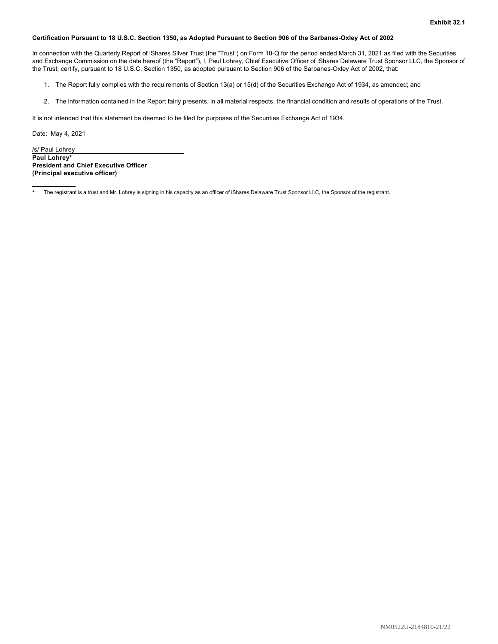## <span id="page-20-0"></span>**Certification Pursuant to 18 U.S.C. Section 1350, as Adopted Pursuant to Section 906 of the Sarbanes-Oxley Act of 2002**

In connection with the Quarterly Report of iShares Silver Trust (the "Trust") on Form 10-Q for the period ended March 31, 2021 as filed with the Securities and Exchange Commission on the date hereof (the "Report"), I, Paul Lohrey, Chief Executive Officer of iShares Delaware Trust Sponsor LLC, the Sponsor of the Trust, certify, pursuant to 18 U.S.C. Section 1350, as adopted pursuant to Section 906 of the Sarbanes-Oxley Act of 2002, that:

- 1. The Report fully complies with the requirements of Section 13(a) or 15(d) of the Securities Exchange Act of 1934, as amended; and
- 2. The information contained in the Report fairly presents, in all material respects, the financial condition and results of operations of the Trust.

It is not intended that this statement be deemed to be filed for purposes of the Securities Exchange Act of 1934.

Date: May 4, 2021

/s/ Paul Lohrey **Paul Lohrey\* President and Chief Executive Officer (Principal executive officer)**

The registrant is a trust and Mr. Lohrey is signing in his capacity as an officer of iShares Delaware Trust Sponsor LLC, the Sponsor of the registrant.